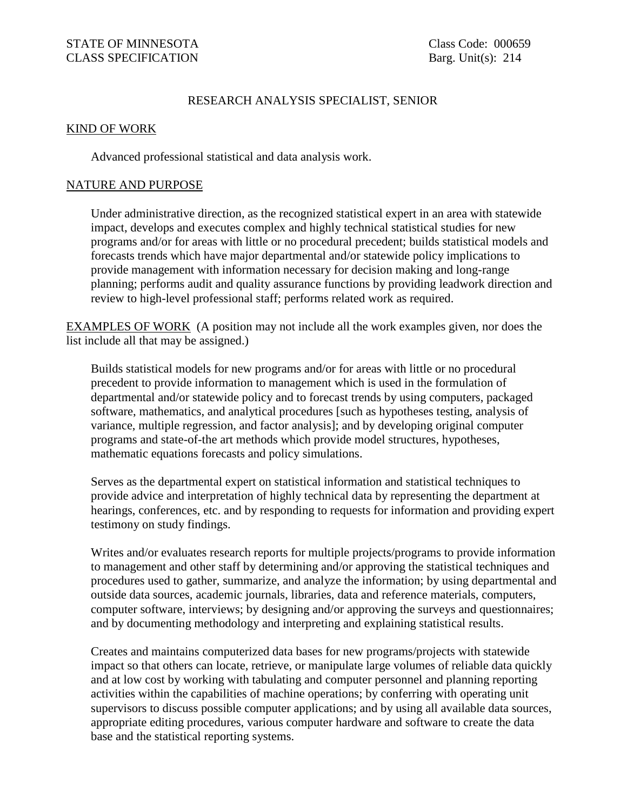## RESEARCH ANALYSIS SPECIALIST, SENIOR

#### KIND OF WORK

Advanced professional statistical and data analysis work.

#### NATURE AND PURPOSE

Under administrative direction, as the recognized statistical expert in an area with statewide impact, develops and executes complex and highly technical statistical studies for new programs and/or for areas with little or no procedural precedent; builds statistical models and forecasts trends which have major departmental and/or statewide policy implications to provide management with information necessary for decision making and long-range planning; performs audit and quality assurance functions by providing leadwork direction and review to high-level professional staff; performs related work as required.

EXAMPLES OF WORK (A position may not include all the work examples given, nor does the list include all that may be assigned.)

Builds statistical models for new programs and/or for areas with little or no procedural precedent to provide information to management which is used in the formulation of departmental and/or statewide policy and to forecast trends by using computers, packaged software, mathematics, and analytical procedures [such as hypotheses testing, analysis of variance, multiple regression, and factor analysis]; and by developing original computer programs and state-of-the art methods which provide model structures, hypotheses, mathematic equations forecasts and policy simulations.

Serves as the departmental expert on statistical information and statistical techniques to provide advice and interpretation of highly technical data by representing the department at hearings, conferences, etc. and by responding to requests for information and providing expert testimony on study findings.

Writes and/or evaluates research reports for multiple projects/programs to provide information to management and other staff by determining and/or approving the statistical techniques and procedures used to gather, summarize, and analyze the information; by using departmental and outside data sources, academic journals, libraries, data and reference materials, computers, computer software, interviews; by designing and/or approving the surveys and questionnaires; and by documenting methodology and interpreting and explaining statistical results.

Creates and maintains computerized data bases for new programs/projects with statewide impact so that others can locate, retrieve, or manipulate large volumes of reliable data quickly and at low cost by working with tabulating and computer personnel and planning reporting activities within the capabilities of machine operations; by conferring with operating unit supervisors to discuss possible computer applications; and by using all available data sources, appropriate editing procedures, various computer hardware and software to create the data base and the statistical reporting systems.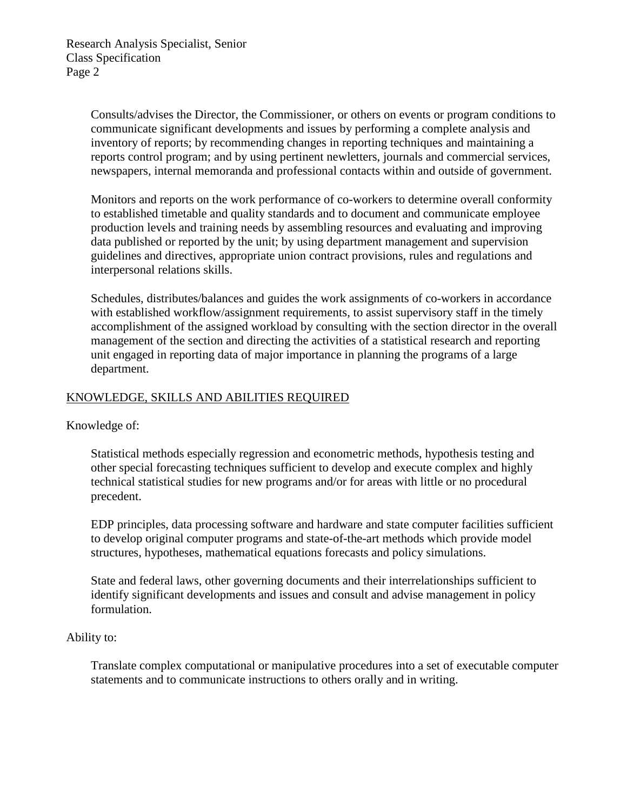Consults/advises the Director, the Commissioner, or others on events or program conditions to communicate significant developments and issues by performing a complete analysis and inventory of reports; by recommending changes in reporting techniques and maintaining a reports control program; and by using pertinent newletters, journals and commercial services, newspapers, internal memoranda and professional contacts within and outside of government.

Monitors and reports on the work performance of co-workers to determine overall conformity to established timetable and quality standards and to document and communicate employee production levels and training needs by assembling resources and evaluating and improving data published or reported by the unit; by using department management and supervision guidelines and directives, appropriate union contract provisions, rules and regulations and interpersonal relations skills.

Schedules, distributes/balances and guides the work assignments of co-workers in accordance with established workflow/assignment requirements, to assist supervisory staff in the timely accomplishment of the assigned workload by consulting with the section director in the overall management of the section and directing the activities of a statistical research and reporting unit engaged in reporting data of major importance in planning the programs of a large department.

# KNOWLEDGE, SKILLS AND ABILITIES REQUIRED

Knowledge of:

Statistical methods especially regression and econometric methods, hypothesis testing and other special forecasting techniques sufficient to develop and execute complex and highly technical statistical studies for new programs and/or for areas with little or no procedural precedent.

EDP principles, data processing software and hardware and state computer facilities sufficient to develop original computer programs and state-of-the-art methods which provide model structures, hypotheses, mathematical equations forecasts and policy simulations.

State and federal laws, other governing documents and their interrelationships sufficient to identify significant developments and issues and consult and advise management in policy formulation.

## Ability to:

Translate complex computational or manipulative procedures into a set of executable computer statements and to communicate instructions to others orally and in writing.